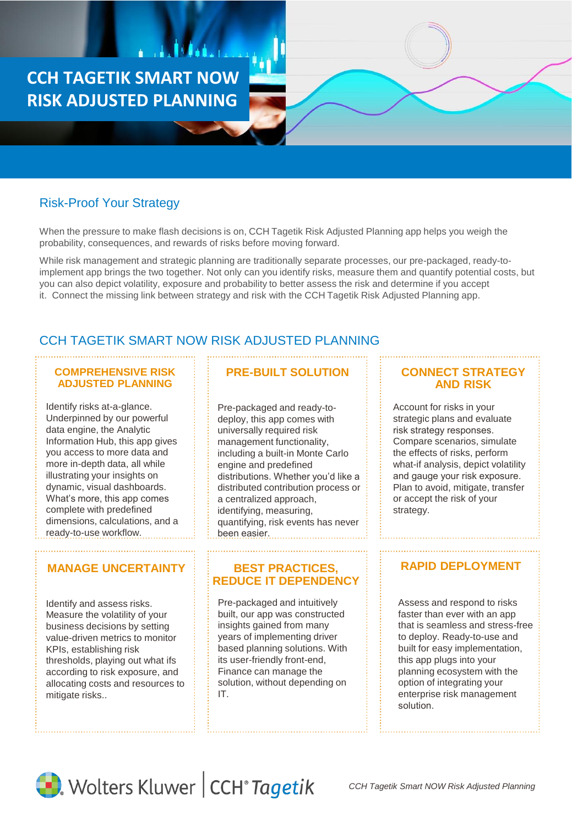**CCH TAGETIK SMART NOW RISK ADJUSTED PLANNING**

# Risk-Proof Your Strategy

When the pressure to make flash decisions is on, CCH Tagetik Risk Adjusted Planning app helps you weigh the probability, consequences, and rewards of risks before moving forward.

While risk management and strategic planning are traditionally separate processes, our pre-packaged, ready-toimplement app brings the two together. Not only can you identify risks, measure them and quantify potential costs, but you can also depict volatility, exposure and probability to better assess the risk and determine if you accept it. Connect the missing link between strategy and risk with the CCH Tagetik Risk Adjusted Planning app.

# CCH TAGETIK SMART NOW RISK ADJUSTED PLANNING

#### **COMPREHENSIVE RISK ADJUSTED PLANNING**

Identify risks at-a-glance. Underpinned by our powerful data engine, the Analytic Information Hub, this app gives you access to more data and more in-depth data, all while illustrating your insights on dynamic, visual dashboards. What's more, this app comes complete with predefined dimensions, calculations, and a ready-to-use workflow.

## **MANAGE UNCERTAINTY**

Identify and assess risks. Measure the volatility of your business decisions by setting value-driven metrics to monitor KPIs, establishing risk thresholds, playing out what ifs according to risk exposure, and allocating costs and resources to mitigate risks..

# **PRE-BUILT SOLUTION CONNECT STRATEGY**

Pre-packaged and ready-todeploy, this app comes with universally required risk management functionality, including a built-in Monte Carlo engine and predefined distributions. Whether you'd like a distributed contribution process or a centralized approach, identifying, measuring, quantifying, risk events has never been easier.

#### **BEST PRACTICES, REDUCE IT DEPENDENCY**

Pre-packaged and intuitively built, our app was constructed insights gained from many years of implementing driver based planning solutions. With its user-friendly front-end, Finance can manage the solution, without depending on IT.

# **AND RISK**

Account for risks in your strategic plans and evaluate risk strategy responses. Compare scenarios, simulate the effects of risks, perform what-if analysis, depict volatility and gauge your risk exposure. Plan to avoid, mitigate, transfer or accept the risk of your strategy.

## **RAPID DEPLOYMENT**

Assess and respond to risks faster than ever with an app that is seamless and stress-free to deploy. Ready-to-use and built for easy implementation, this app plugs into your planning ecosystem with the option of integrating your enterprise risk management solution.